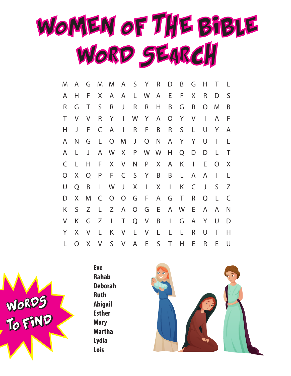

| M              | A        | G      | M            | M                        |                |                | A S Y        | $\mathsf R$      | D              | B            | G            | Н            | Τ            | L |
|----------------|----------|--------|--------------|--------------------------|----------------|----------------|--------------|------------------|----------------|--------------|--------------|--------------|--------------|---|
| A              | Н        | F      | X            | A                        | A              |                | L W          | A                | E              | F            | X            | R            | D            | S |
| R              | G        | Τ      | S            | R                        | J              | R              | R            | Н                | B              | G            | R            | O            | M            | B |
| Τ              | V        | V      | $\mathsf R$  | Y                        | $\mathbf{L}$   | W              | Y            | A                | $\overline{O}$ | Y            | $\vee$       | $\mathbf{I}$ | A            | F |
| Н              | J        | F      | C            | A                        | $\mathbf{I}$   | R              | F.           | B                | $\mathsf R$    | $\mathsf{S}$ | L            | U            | Y            | A |
| A              | N        | G      | $\lfloor$    | $\overline{O}$           | M              | J              | Q            | N                | A              | Y            | Y            | U            | $\mathbf{I}$ | E |
| A              | L.       | J      | A            | W                        | X              | P              |              | W W              | H.             | Q            | D            | D            | L            | Τ |
| C              | L        | Н      | F            | X                        | V              | N              | P            | $X_{\mathbb{R}}$ | A              | K            | $\mathbf{I}$ | E            | O            | X |
| $\overline{O}$ | X        | Q      | P            | F                        |                | C S Y          |              | B                | B              | L.           | A            | A            | J.           | L |
| U              | Q        | B      | $\mathbf{I}$ | W                        | J              | X              | $\perp$      | X                | $\mathbf{I}$   | K            | C            | J            | S            | Ζ |
| D              | X        | M      | C            | $\overline{O}$           | $\overline{O}$ | G              | -F           | A                | G              | $\top$       | $\mathsf R$  | Q            | L            | C |
| Κ              | S        | Z      | L            | Z                        | $\mathsf{A}$   | $\overline{O}$ | G            | $-E$             | $\mathsf{A}$   | <b>W</b>     | Ε            | A            | A            | N |
| V              | K        | G      | Z            | $\overline{\phantom{a}}$ | $\mathsf T$    |                | $Q$ V        | B                | $\mathbf{I}$   | G            | A            | Y            | U            | D |
| Y              | X        | $\vee$ | L            | K                        | $\vee$         | E              | V            | - E              | L              | Ε            | R            | U            | Τ            | H |
| L              | $\Omega$ | X      | $\vee$       | S                        | $\vee$         | A              | $\mathsf{E}$ | S                | $\top$         | H            | E            | R            | E            | U |



**Eve Rahab Deborah Ruth Abigail Esther Mary Martha Lydia Lois**